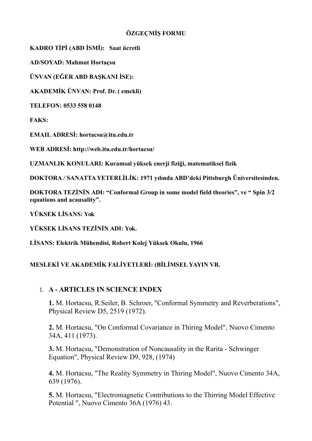## **ÖZGEÇMİŞ FORMU**

**KADRO TİPİ (ABD İSMİ): Saat ücretli** 

**AD/SOYAD: Mahmut Hortaçsu**

**ÜNVAN (EĞER ABD BAŞKANI İSE):**

**AKADEMİK ÜNVAN: Prof. Dr. ( emekli)**

**TELEFON: 0533 558 0148**

**FAKS:**

**EMAIL ADRESİ: hortacsu@itu.edu.tr**

**WEB ADRESİ: http://web.itu.edu.tr/hortacsu/**

**UZMANLIK KONULARI: Kuramsal yüksek enerji fiziği, matematiksel fizik**

**DOKTORA / SANATTA YETERLİLİK: 1971 yılında ABD'deki Pittsburgh Üniversitesinden.**

**DOKTORA TEZİNİN ADI: "Conformal Group in some model field theories", ve " Spin 3/2 equations and acausality".**

**YÜKSEK LİSANS: Yok**

**YÜKSEK LİSANS TEZİNİN ADI: Yok.**

**LİSANS: Elektrik Mühendisi, Robert Kolej Yüksek Okulu, 1966**

## **MESLEKİ VE AKADEMİK FALİYETLERİ: (BİLİMSEL YAYIN VB.**

## 1. **A - ARTICLES IN SCIENCE INDEX**

**1.** M. Hortacsu, R.Seiler, B. Schroer, "Conformal Symmetry and Reverberations", Physical Review D5, 2519 (1972).

**2.** M. Hortacsu, "On Conformal Covariance in Thiring Model", Nuovo Cimento 34A, 411 (1973).

**3.** M. Hortacsu, "Demonstration of Noncausality in the Rarita - Schwinger Equation", Physical Review D9, 928, (1974)

**4.** M. Hortacsu, "The Reality Symmetry in Thiring Model", Nuovo Cimento 34A, 639 (1976).

**5.** M. Hortacsu, "Electromagnetic Contributions to the Thirring Model Effective Potential ", Nuovo Cimento 36A (1976) 43.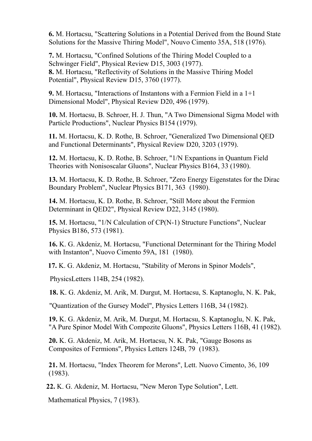**6.** M. Hortacsu, "Scattering Solutions in a Potential Derived from the Bound State Solutions for the Massive Thiring Model", Nouvo Cimento 35A, 518 (1976).

**7.** M. Hortacsu, "Confined Solutions of the Thiring Model Coupled to a Schwinger Field", Physical Review D15, 3003 (1977). **8.** M. Hortacsu, "Reflectivity of Solutions in the Massive Thiring Model Potential", Physical Review D15, 3760 (1977).

**9.** M. Hortacsu, "Interactions of Instantons with a Fermion Field in a 1+1 Dimensional Model", Physical Review D20, 496 (1979).

**10.** M. Hortacsu, B. Schroer, H. J. Thun, "A Two Dimensional Sigma Model with Particle Productions", Nuclear Physics B154 (1979).

**11.** M. Hortacsu, K. D. Rothe, B. Schroer, "Generalized Two Dimensional QED and Functional Determinants", Physical Review D20, 3203 (1979).

**12.** M. Hortacsu, K. D. Rothe, B. Schroer, "1/N Expantions in Quantum Field Theories with Nonisoscalar Gluons", Nuclear Physics B164, 33 (1980).

**13.** M. Hortacsu, K. D. Rothe, B. Schroer, "Zero Energy Eigenstates for the Dirac Boundary Problem", Nuclear Physics B171, 363 (1980).

**14.** M. Hortacsu, K. D. Rothe, B. Schroer, "Still More about the Fermion Determinant in QED2", Physical Review D22, 3145 (1980).

**15.** M. Hortacsu, "1/N Calculation of CP(N-1) Structure Functions", Nuclear Physics B186, 573 (1981).

**16.** K. G. Akdeniz, M. Hortacsu, "Functional Determinant for the Thiring Model with Instanton", Nuovo Cimento 59A, 181 (1980).

 **17.** K. G. Akdeniz, M. Hortacsu, "Stability of Merons in Spinor Models",

PhysicsLetters 114B, 254 (1982).

 **18.** K. G. Akdeniz, M. Arik, M. Durgut, M. Hortacsu, S. Kaptanoglu, N. K. Pak,

"Quantization of the Gursey Model", Physics Letters 116B, 34 (1982).

**19.** K. G. Akdeniz, M. Arik, M. Durgut, M. Hortacsu, S. Kaptanoglu, N. K. Pak, "A Pure Spinor Model With Compozite Gluons", Physics Letters 116B, 41 (1982).

**20.** K. G. Akdeniz, M. Arik, M. Hortacsu, N. K. Pak, "Gauge Bosons as Composites of Fermions", Physics Letters 124B, 79 (1983).

**21.** M. Hortacsu, "Index Theorem for Merons", Lett. Nuovo Cimento, 36, 109 (1983).

 **22.** K. G. Akdeniz, M. Hortacsu, "New Meron Type Solution", Lett.

Mathematical Physics, 7 (1983).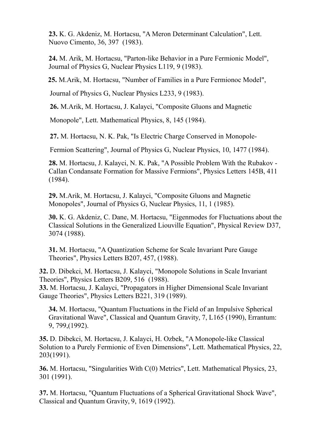**23.** K. G. Akdeniz, M. Hortacsu, "A Meron Determinant Calculation", Lett. Nuovo Cimento, 36, 397 (1983).

**24.** M. Arik, M. Hortacsu, "Parton-like Behavior in a Pure Fermionic Model", Journal of Physics G, Nuclear Physics L119, 9 (1983).

 **25.** M.Arik, M. Hortacsu, "Number of Families in a Pure Fermionoc Model",

Journal of Physics G, Nuclear Physics L233, 9 (1983).

 **26.** M.Arik, M. Hortacsu, J. Kalayci, "Composite Gluons and Magnetic

Monopole", Lett. Mathematical Physics, 8, 145 (1984).

 **27.** M. Hortacsu, N. K. Pak, "Is Electric Charge Conserved in Monopole-

Fermion Scattering", Journal of Physics G, Nuclear Physics, 10, 1477 (1984).

**28.** M. Hortacsu, J. Kalayci, N. K. Pak, "A Possible Problem With the Rubakov - Callan Condansate Formation for Massive Fermions", Physics Letters 145B, 411 (1984).

**29.** M.Arik, M. Hortacsu, J. Kalayci, "Composite Gluons and Magnetic Monopoles", Journal of Physics G, Nuclear Physics, 11, 1 (1985).

**30.** K. G. Akdeniz, C. Dane, M. Hortacsu, "Eigenmodes for Fluctuations about the Classical Solutions in the Generalized Liouville Equation", Physical Review D37, 3074 (1988).

**31.** M. Hortacsu, "A Quantization Scheme for Scale Invariant Pure Gauge Theories", Physics Letters B207, 457, (1988).

**32.** D. Dibekci, M. Hortacsu, J. Kalayci, "Monopole Solutions in Scale Invariant Theories", Physics Letters B209, 516 (1988).

**33.** M. Hortacsu, J. Kalayci, "Propagators in Higher Dimensional Scale Invariant Gauge Theories", Physics Letters B221, 319 (1989).

**34.** M. Hortacsu, "Quantum Fluctuations in the Field of an Impulsive Spherical Gravitational Wave", Classical and Quantum Gravity, 7, L165 (1990), Errantum: 9, 799,(1992).

**35.** D. Dibekci, M. Hortacsu, J. Kalayci, H. Ozbek, "A Monopole-like Classical Solution to a Purely Fermionic of Even Dimensions", Lett. Mathematical Physics, 22, 203(1991).

**36.** M. Hortacsu, "Singularities With C(0) Metrics", Lett. Mathematical Physics, 23, 301 (1991).

**37.** M. Hortacsu, "Quantum Fluctuations of a Spherical Gravitational Shock Wave", Classical and Quantum Gravity, 9, 1619 (1992).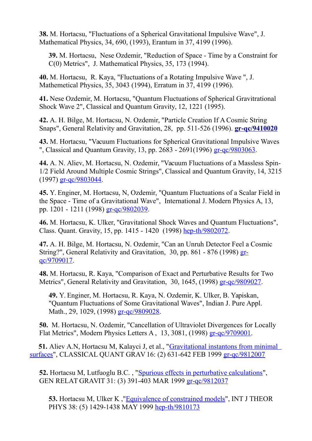**38.** M. Hortacsu, "Fluctuations of a Spherical Gravitational Impulsive Wave", J. Mathematical Physics, 34, 690, (1993), Erantum in 37, 4199 (1996).

**39.** M. Hortacsu, Nese Ozdemir, "Reduction of Space - Time by a Constraint for C(0) Metrics", J. Mathematical Physics, 35, 173 (1994).

**40.** M. Hortacsu, R. Kaya, "Fluctuations of a Rotating Impulsive Wave ", J. Mathemetical Physics, 35, 3043 (1994), Erratum in 37, 4199 (1996).

**41.** Nese Ozdemir, M. Hortacsu, "Quantum Fluctuations of Spherical Gravitrational Shock Wave 2", Classical and Quantum Gravity, 12, 1221 (1995).

**42.** A. H. Bilge, M. Hortacsu, N. Ozdemir, "Particle Creation If A Cosmic String Snaps", General Relativity and Gravitation, 28, pp. 511-526 (1996). **[gr](http://arxiv.org/abs/gr-qc/9410020)[-qc/9410020](http://arxiv.org/abs/qr-qc/9410020)**

**43.** M. Hortacsu, "Vacuum Fluctuations for Spherical Gravitational Impulsive Waves ", Classical and Quantum Gravity, 13, pp. 2683 - 2691(1996) [gr-qc/9803063.](http://arxiv.org/pdf/gr-qc/9803063)

**44.** A. N. Aliev, M. Hortacsu, N. Ozdemir, "Vacuum Fluctuations of a Massless Spin-1/2 Field Around Multiple Cosmic Strings", Classical and Quantum Gravity, 14, 3215 (1997) [gr-qc/9803044.](http://arxiv.org/pdf/gr-qc/9803044)

**45.** Y. Enginer, M. Hortacsu, N, Ozdemir, "Quantum Fluctuations of a Scalar Field in the Space - Time of a Gravitational Wave", International J. Modern Physics A, 13, pp. 1201 - 1211 (1998) [gr-qc/9802039.](http://arxiv.org/pdf/gr-qc/9802039)

**46.** M. Hortacsu, K. Ulker, "Gravitational Shock Waves and Quantum Fluctuations", Class. Quant. Gravity, 15, pp. 1415 - 1420 (1998) [hep-th/9802072.](http://arxiv.org/pdf/hep-th/9802072)

**47.** A. H. Bilge, M. Hortacsu, N. Ozdemir, "Can an Unruh Detector Feel a Cosmic String?", General Relativity and Gravitation, 30, pp. 861 - 876 (1998) [gr](http://arxiv.org/pdf/gr-qc/9709017)[qc/9709017.](http://arxiv.org/pdf/gr-qc/9709017)

**48.** M. Hortacsu, R. Kaya, "Comparison of Exact and Perturbative Results for Two Metrics", General Relativity and Gravitation, 30, 1645, (1998) [gr-qc/9809027.](http://arxiv.org/pdf/gr-qc/9809027)

**49.** Y. Enginer, M. Hortacsu, R. Kaya, N. Ozdemir, K. Ulker, B. Yapiskan, "Quantum Fluctuations of Some Gravitational Waves", Indian J. Pure Appl. Math., 29, 1029, (1998) [gr-qc/9809028.](http://arxiv.org/pdf/gr-qc/9809028)

**50.** M. Hortacsu, N. Ozdemir, "Cancellation of Ultraviolet Divergences for Locally Flat Metrics", Modern Physics Letters A , 13, 3081, (1998) [gr-qc/9709001.](http://arxiv.org/pdf/gr-qc/9709001)

 **51.** Aliev A.N, Hortacsu M, Kalayci J, et al., ["Gravitational instantons from minimal](http://atlas.ulakbim.gov.tr/cgi-isi/CIW.cgi?625_2675C1AD&Func=Abstract&doc=0/2)  [surfaces"](http://atlas.ulakbim.gov.tr/cgi-isi/CIW.cgi?625_2675C1AD&Func=Abstract&doc=0/2), CLASSICAL QUANT GRAV 16: (2) 631-642 FEB 1999 [gr-qc/9812007](http://arxiv.org/pdf/gr-qc/9812007)

**52.** Hortacsu M, Lutfuoglu B.C. , ["Spurious effects in perturbative calculations"](http://atlas.ulakbim.gov.tr/cgi-isi/CIW.cgi?625_2675C1AD&Func=Abstract&doc=0/3), GEN RELAT GRAVIT 31: (3) 391-403 MAR 1999 [gr-qc/9812037](http://arxiv.org/abs/gr-qc/9812037)

**53.** Hortacsu M, Ulker K ,["Equivalence of constrained models"](http://atlas.ulakbim.gov.tr/cgi-isi/CIW.cgi?625_2675C1AD&Func=Abstract&doc=0/1), INT J THEOR PHYS 38: (5) 1429-1438 MAY 1999 [hep-th/9810173](http://arxiv.org/pdf/hep-th/9810173)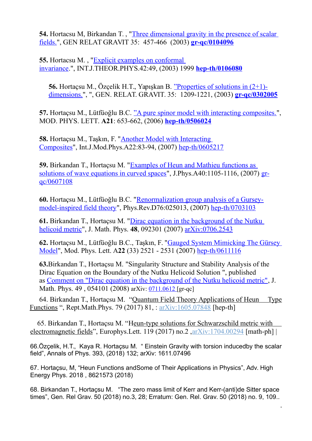**54.** Hortacsu M, Birkandan T. , ["Three dimensional gravity in the presence of scalar](http://atlas.ulakbim.gov.tr/cgi-isi/CIW.cgi?625_2675C1AD&Func=Abstract&doc=0/3)  [fields."](http://atlas.ulakbim.gov.tr/cgi-isi/CIW.cgi?625_2675C1AD&Func=Abstract&doc=0/3), GEN RELAT GRAVIT 35: 457-466 (2003) **[gr-qc/0104096](http://arxiv.org/abs/gr-qc/0104096)**

**55.** Hortacsu M. , ["Explicit examples on conformal](http://atlas.ulakbim.gov.tr/cgi-isi/CIW.cgi?625_2675C1AD&Func=Abstract&doc=0/3)  [invariance.](http://atlas.ulakbim.gov.tr/cgi-isi/CIW.cgi?625_2675C1AD&Func=Abstract&doc=0/3)", INT.J.THEOR.PHYS.42:49, (2003) 1999 **[hep-th/0106080](http://arxiv.org/abs/hep-th/0106080)**

**56.** Hortaçsu M., Özçelik H.T., Yapışkan B. ["Properties of solutions in \(2+1\)](http://atlas.ulakbim.gov.tr/cgi-isi/CIW.cgi?625_2675C1AD&Func=Abstract&doc=0/3) [dimensions."](http://atlas.ulakbim.gov.tr/cgi-isi/CIW.cgi?625_2675C1AD&Func=Abstract&doc=0/3), ", GEN. RELAT. GRAVIT. 35: 1209-1221, (2003) **[gr-qc/0302005](http://arxiv.org/abs/gr-qc/0302005)**

**57.** Hortaçsu M., Lütfüoğlu B.C. ["A pure spinor model with interacting composites."](http://atlas.ulakbim.gov.tr/cgi-isi/CIW.cgi?625_2675C1AD&Func=Abstract&doc=0/3), MOD. PHYS. LETT. **A21**: 653-662, (2006) **[hep-th/0506024](http://arxiv.org/abs/hep-th/0506024)**

**58.** Hortaçsu M., Taşkın, F. ["Another Model with Interacting](http://dx.doi.org/10.1142/S0217751X0703412X)  [Composites"](http://dx.doi.org/10.1142/S0217751X0703412X), Int.J.Mod.Phys.A22:83-94, (2007) [hep-th/0605217](http://arxiv.org/pdf/hep-th/0605217)

**59.** Birkandan T., Hortaçsu M. ["Examples of Heun and Mathieu functions as](http://www.iop.org/EJ/select?submit=1&cf_issn=0305-4470&40/1105)  [solutions of wave equations in curved spaces"](http://www.iop.org/EJ/select?submit=1&cf_issn=0305-4470&40/1105), J.Phys.A40:1105-1116, (2007) [gr](http://arxiv.org/pdf/gr-qc/0607108)[qc/0607108](http://arxiv.org/pdf/gr-qc/0607108)

**60.** Hortaçsu M., Lütfüoğlu B.C. ["Renormalization group analysis of a Gursey](http://dx.doi.org/10.1103/PhysRevD.76.025013)[model-inspired field theory"](http://dx.doi.org/10.1103/PhysRevD.76.025013), Phys.Rev.D76:025013, (2007) [hep-th/0703103](http://lanl.arxiv.org/abs/hep-th/0703103)

**61.** Birkandan T., Hortaçsu M. ["Dirac equation in the background of the Nutku](http://pubster.aip.org/getabs/servlet/GetabsServlet?prog=normal&id=JMAPAQ000048000009092301000001&idtype=cvips)  [helicoid metric"](http://pubster.aip.org/getabs/servlet/GetabsServlet?prog=normal&id=JMAPAQ000048000009092301000001&idtype=cvips), J. Math. Phys. **48**, 092301 (2007) [arXiv:0706.2543](http://lanl.arxiv.org/abs/0706.2543)

**62.** Hortaçsu M., Lütfüoğlu B.C., Taşkın, F. ["Gauged System Mimicking The Gürsey](http://www.worldscinet.com/cgi-bin/details.cgi?id=voliss:mpla_2233&type=toc)  [Model"](http://www.worldscinet.com/cgi-bin/details.cgi?id=voliss:mpla_2233&type=toc), Mod. Phys. Lett. A**22** (33) 2521 - 2531 (2007) [hep-th/0611116](http://lanl.arxiv.org/abs/hep-th/0611116)

**63.**Birkandan T., Hortaçsu M. "Singularity Structure and Stability Analysis of the Dirac Equation on the Boundary of the Nutku Helicoid Solution ", published as [Comment on "Dirac equation in the background of the Nutku helicoid metric",](http://scitation.aip.org/getabs/servlet/GetabsServlet?prog=normal&id=JMAPAQ000049000005054101000001&idtype=cvips&gifs=yes) J. Math. Phys. 49, 054101 (2008) arXiv: [0711.0612](http://lanl.arxiv.org/abs/0711.0612) [gr-qc]

 64. Birkandan T., Hortaçsu M. ["Quantum Field Theory Applications of Heun Type](http://inspirehep.net/record/1465673) [Functions](http://inspirehep.net/record/1465673) ", Rept.Math.Phys. 79 (2017) 81, : [arXiv:1605.07848](http://arxiv.org/abs/arXiv:1605.07848) [hep-th]

65. Birkandan T., Hortaçsu M. "[Heun-type solutions for Schwarzschild metric with](http://inspirehep.net/record/1589265)  [electromagnetic fields"](http://inspirehep.net/record/1589265), Europhys. Lett. 119 (2017) no.  $2 \arXiv$ : 1704.00294 [math-ph] |

66.Özçelik, H.T., Kaya R. Hortaçsu M. " Einstein Gravity with torsion inducedby the scalar field", Annals of Phys. 393, (2018) 132; arXiv: 1611.07496

67. Hortaçsu, M, "Heun Functions andSome of Their Applications in Physics", Adv. High Energy Phys. 2018 , 8621573 (2018)

68. Birkandan T., Hortaçsu M. "The zero mass limit of Kerr and Kerr-(anti)de Sitter space times", Gen. Rel Grav. 50 (2018) no.3, 28; Erratum: Gen. Rel. Grav. 50 (2018) no. 9, 109..

.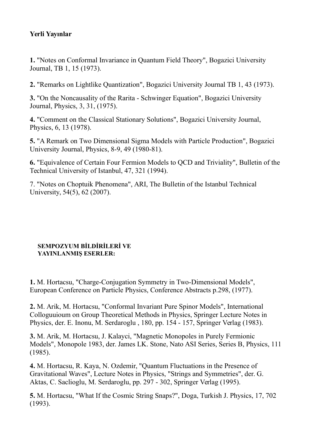# **Yerli Yayınlar**

**1.** "Notes on Conformal Invariance in Quantum Field Theory", Bogazici University Journal, TB 1, 15 (1973).

**2.** "Remarks on Lightlike Quantization", Bogazici University Journal TB 1, 43 (1973).

**3.** "On the Noncausality of the Rarita - Schwinger Equation", Bogazici University Journal, Physics, 3, 31, (1975).

**4.** "Comment on the Classical Stationary Solutions", Bogazici University Journal, Physics, 6, 13 (1978).

**5.** "A Remark on Two Dimensional Sigma Models with Particle Production", Bogazici University Journal, Physics, 8-9, 49 (1980-81).

**6.** "Equivalence of Certain Four Fermion Models to QCD and Triviality", Bulletin of the Technical University of Istanbul, 47, 321 (1994).

7. "Notes on Choptuik Phenomena", ARI, The Bulletin of the Istanbul Technical University, 54(5), 62 (2007).

#### **SEMPOZYUM BİLDİRİLERİ VE YAYINLANMIŞ ESERLER:**

**1.** M. Hortacsu, "Charge-Conjugation Symmetry in Two-Dimensional Models", European Conference on Particle Physics, Conference Abstracts p.298, (1977).

**2.** M. Arik, M. Hortacsu, "Conformal Invariant Pure Spinor Models", International Colloguuioum on Group Theoretical Methods in Physics, Springer Lecture Notes in Physics, der. E. Inonu, M. Serdaroglu , 180, pp. 154 - 157, Springer Verlag (1983).

**3.** M. Arik, M. Hortacsu, J. Kalayci, "Magnetic Monopoles in Purely Fermionic Models", Monopole 1983, der. James LK. Stone, Nato ASI Series, Series B, Physics, 111 (1985).

**4.** M. Hortacsu, R. Kaya, N. Ozdemir, "Quantum Fluctuations in the Presence of Gravitational Waves", Lecture Notes in Physics, "Strings and Symmetries", der. G. Aktas, C. Saclioglu, M. Serdaroglu, pp. 297 - 302, Springer Verlag (1995).

**5.** M. Hortacsu, "What If the Cosmic String Snaps?", Doga, Turkish J. Physics, 17, 702 (1993).